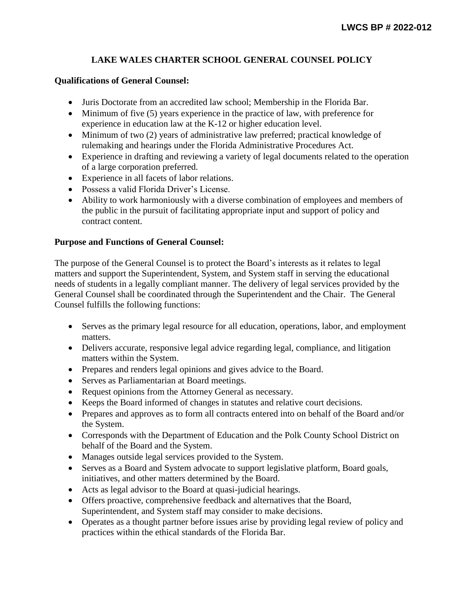## **LAKE WALES CHARTER SCHOOL GENERAL COUNSEL POLICY**

## **Qualifications of General Counsel:**

- Juris Doctorate from an accredited law school; Membership in the Florida Bar.
- Minimum of five (5) years experience in the practice of law, with preference for experience in education law at the K-12 or higher education level.
- Minimum of two (2) years of administrative law preferred; practical knowledge of rulemaking and hearings under the Florida Administrative Procedures Act.
- Experience in drafting and reviewing a variety of legal documents related to the operation of a large corporation preferred.
- Experience in all facets of labor relations.
- Possess a valid Florida Driver's License.
- Ability to work harmoniously with a diverse combination of employees and members of the public in the pursuit of facilitating appropriate input and support of policy and contract content.

## **Purpose and Functions of General Counsel:**

The purpose of the General Counsel is to protect the Board's interests as it relates to legal matters and support the Superintendent, System, and System staff in serving the educational needs of students in a legally compliant manner. The delivery of legal services provided by the General Counsel shall be coordinated through the Superintendent and the Chair. The General Counsel fulfills the following functions:

- Serves as the primary legal resource for all education, operations, labor, and employment matters.
- Delivers accurate, responsive legal advice regarding legal, compliance, and litigation matters within the System.
- Prepares and renders legal opinions and gives advice to the Board.
- Serves as Parliamentarian at Board meetings.
- Request opinions from the Attorney General as necessary.
- Keeps the Board informed of changes in statutes and relative court decisions.
- Prepares and approves as to form all contracts entered into on behalf of the Board and/or the System.
- Corresponds with the Department of Education and the Polk County School District on behalf of the Board and the System.
- Manages outside legal services provided to the System.
- Serves as a Board and System advocate to support legislative platform, Board goals, initiatives, and other matters determined by the Board.
- Acts as legal advisor to the Board at quasi-judicial hearings.
- Offers proactive, comprehensive feedback and alternatives that the Board, Superintendent, and System staff may consider to make decisions.
- Operates as a thought partner before issues arise by providing legal review of policy and practices within the ethical standards of the Florida Bar.